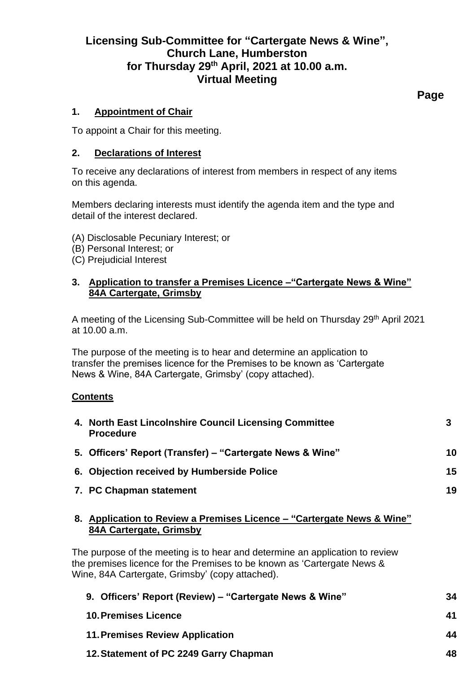# **Licensing Sub-Committee for "Cartergate News & Wine", Church Lane, Humberston for Thursday 29th April, 2021 at 10.00 a.m. Virtual Meeting**

**Page**

## **1. Appointment of Chair**

To appoint a Chair for this meeting.

## **2. Declarations of Interest**

To receive any declarations of interest from members in respect of any items on this agenda.

Members declaring interests must identify the agenda item and the type and detail of the interest declared.

- (A) Disclosable Pecuniary Interest; or
- (B) Personal Interest; or
- (C) Prejudicial Interest

## **3. Application to transfer a Premises Licence –"Cartergate News & Wine" 84A Cartergate, Grimsby**

A meeting of the Licensing Sub-Committee will be held on Thursday 29th April 2021 at 10.00 a.m.

The purpose of the meeting is to hear and determine an application to transfer the premises licence for the Premises to be known as 'Cartergate News & Wine, 84A Cartergate, Grimsby' (copy attached).

#### **Contents**

|    | 4. North East Lincolnshire Council Licensing Committee<br><b>Procedure</b>                     | 3  |
|----|------------------------------------------------------------------------------------------------|----|
|    | 5. Officers' Report (Transfer) – "Cartergate News & Wine"                                      | 10 |
|    | 6. Objection received by Humberside Police                                                     | 15 |
|    | 7. PC Chapman statement                                                                        | 19 |
| 8. | Application to Review a Premises Licence – "Cartergate News & Wine"<br>84A Cartergate, Grimsby |    |

The purpose of the meeting is to hear and determine an application to review the premises licence for the Premises to be known as 'Cartergate News & Wine, 84A Cartergate, Grimsby' (copy attached).

| 9. Officers' Report (Review) – "Cartergate News & Wine" | 34 |
|---------------------------------------------------------|----|
| <b>10. Premises Licence</b>                             | 41 |
| <b>11. Premises Review Application</b>                  | 44 |
| 12. Statement of PC 2249 Garry Chapman                  | 48 |